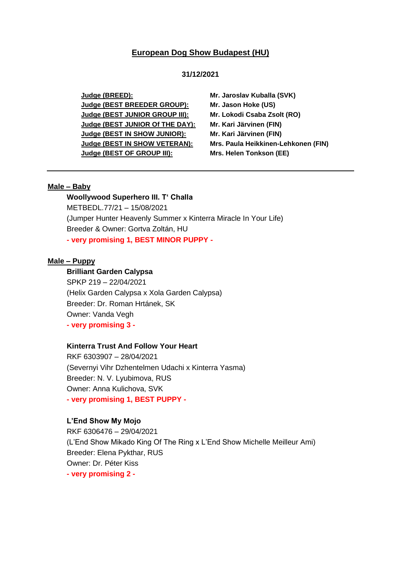# **European Dog Show Budapest (HU)**

## **31/12/2021**

**Judge (BREED): Mr. Jaroslav Kuballa (SVK) Judge (BEST BREEDER GROUP): Mr. Jason Hoke (US) Judge (BEST JUNIOR GROUP III): Mr. Lokodi Csaba Zsolt (RO) Judge (BEST JUNIOR Of THE DAY): Mr. Kari Järvinen (FIN) Judge (BEST IN SHOW JUNIOR): Mr. Kari Järvinen (FIN) Judge (BEST IN SHOW VETERAN): Mrs. Paula Heikkinen-Lehkonen (FIN) Judge (BEST OF GROUP III): Mrs. Helen Tonkson (EE)**

## **Male – Baby**

**Woollywood Superhero III. T' Challa** METBEDL.77/21 – 15/08/2021 (Jumper Hunter Heavenly Summer x Kinterra Miracle In Your Life) Breeder & Owner: Gortva Zoltán, HU **- very promising 1, BEST MINOR PUPPY -**

## **Male – Puppy**

# **Brilliant Garden Calypsa**

SPKP 219 – 22/04/2021 (Helix Garden Calypsa x Xola Garden Calypsa) Breeder: Dr. Roman Hrtánek, SK Owner: Vanda Vegh **- very promising 3 -**

### **Kinterra Trust And Follow Your Heart**

RKF 6303907 – 28/04/2021 (Severnyi Vihr Dzhentelmen Udachi x Kinterra Yasma) Breeder: N. V. Lyubimova, RUS Owner: Anna Kulichova, SVK **- very promising 1, BEST PUPPY -**

#### **L'End Show My Mojo**

RKF 6306476 – 29/04/2021 (L'End Show Mikado King Of The Ring x L'End Show Michelle Meilleur Ami) Breeder: Elena Pykthar, RUS Owner: Dr. Péter Kiss **- very promising 2 -**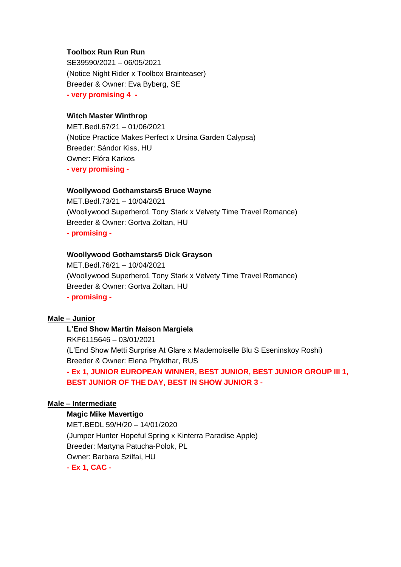## **Toolbox Run Run Run**

SE39590/2021 – 06/05/2021 (Notice Night Rider x Toolbox Brainteaser) Breeder & Owner: Eva Byberg, SE **- very promising 4 -**

# **Witch Master Winthrop**

MET.Bedl.67/21 – 01/06/2021 (Notice Practice Makes Perfect x Ursina Garden Calypsa) Breeder: Sándor Kiss, HU Owner: Flóra Karkos **- very promising -**

## **Woollywood Gothamstars5 Bruce Wayne**

MET.Bedl.73/21 – 10/04/2021 (Woollywood Superhero1 Tony Stark x Velvety Time Travel Romance) Breeder & Owner: Gortva Zoltan, HU **- promising -**

# **Woollywood Gothamstars5 Dick Grayson**

MET.Bedl.76/21 – 10/04/2021 (Woollywood Superhero1 Tony Stark x Velvety Time Travel Romance) Breeder & Owner: Gortva Zoltan, HU **- promising -**

## **Male – Junior**

**L'End Show Martin Maison Margiela** RKF6115646 – 03/01/2021 (L'End Show Metti Surprise At Glare x Mademoiselle Blu S Eseninskoy Roshi) Breeder & Owner: Elena Phykthar, RUS

**- Ex 1, JUNIOR EUROPEAN WINNER, BEST JUNIOR, BEST JUNIOR GROUP III 1, BEST JUNIOR OF THE DAY, BEST IN SHOW JUNIOR 3 -**

# **Male – Intermediate**

## **Magic Mike Mavertigo**

MET.BEDL 59/H/20 – 14/01/2020 (Jumper Hunter Hopeful Spring x Kinterra Paradise Apple) Breeder: Martyna Patucha-Polok, PL Owner: Barbara Szilfai, HU **- Ex 1, CAC -**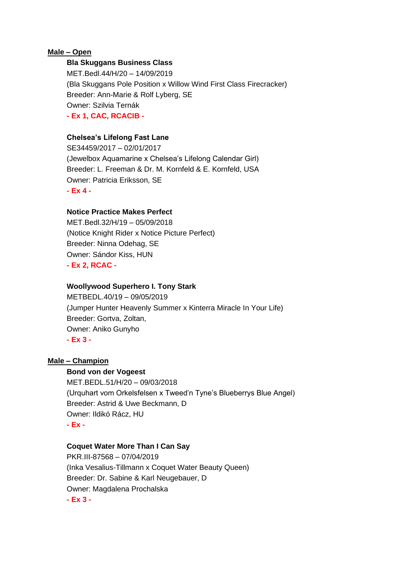# **Male – Open**

## **Bla Skuggans Business Class**

MET.Bedl.44/H/20 – 14/09/2019 (Bla Skuggans Pole Position x Willow Wind First Class Firecracker) Breeder: Ann-Marie & Rolf Lyberg, SE Owner: Szilvia Ternák **- Ex 1, CAC, RCACIB -**

## **Chelsea's Lifelong Fast Lane**

SE34459/2017 – 02/01/2017 (Jewelbox Aquamarine x Chelsea's Lifelong Calendar Girl) Breeder: L. Freeman & Dr. M. Kornfeld & E. Kornfeld, USA Owner: Patricia Eriksson, SE **- Ex 4 -**

## **Notice Practice Makes Perfect**

MET.Bedl.32/H/19 – 05/09/2018 (Notice Knight Rider x Notice Picture Perfect) Breeder: Ninna Odehag, SE Owner: Sándor Kiss, HUN **- Ex 2, RCAC -**

### **Woollywood Superhero I. Tony Stark**

METBEDL.40/19 – 09/05/2019 (Jumper Hunter Heavenly Summer x Kinterra Miracle In Your Life) Breeder: Gortva, Zoltan, Owner: Aniko Gunyho **- Ex 3 -**

### **Male – Champion**

#### **Bond von der Vogeest**

MET.BEDL.51/H/20 – 09/03/2018 (Urquhart vom Orkelsfelsen x Tweed'n Tyne's Blueberrys Blue Angel) Breeder: Astrid & Uwe Beckmann, D Owner: Ildikó Rácz, HU **- Ex -**

### **Coquet Water More Than I Can Say**

PKR.III-87568 – 07/04/2019 (Inka Vesalius-Tillmann x Coquet Water Beauty Queen) Breeder: Dr. Sabine & Karl Neugebauer, D Owner: Magdalena Prochalska **- Ex 3 -**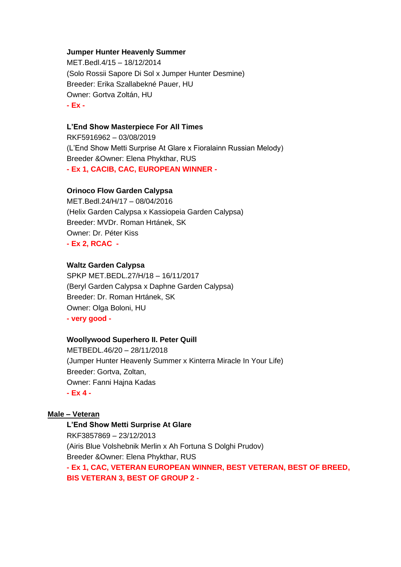## **Jumper Hunter Heavenly Summer**

MET.Bedl.4/15 – 18/12/2014 (Solo Rossii Sapore Di Sol x Jumper Hunter Desmine) Breeder: Erika Szallabekné Pauer, HU Owner: Gortva Zoltán, HU **- Ex -**

# **L'End Show Masterpiece For All Times**

RKF5916962 – 03/08/2019 (L'End Show Metti Surprise At Glare x Fioralainn Russian Melody) Breeder &Owner: Elena Phykthar, RUS **- Ex 1, CACIB, CAC, EUROPEAN WINNER -**

# **Orinoco Flow Garden Calypsa**

MET.Bedl.24/H/17 – 08/04/2016 (Helix Garden Calypsa x Kassiopeia Garden Calypsa) Breeder: MVDr. Roman Hrtánek, SK Owner: Dr. Péter Kiss **- Ex 2, RCAC -**

### **Waltz Garden Calypsa**

SPKP MET.BEDL.27/H/18 – 16/11/2017 (Beryl Garden Calypsa x Daphne Garden Calypsa) Breeder: Dr. Roman Hrtánek, SK Owner: Olga Boloni, HU **- very good -**

#### **Woollywood Superhero II. Peter Quill**

METBEDL.46/20 – 28/11/2018 (Jumper Hunter Heavenly Summer x Kinterra Miracle In Your Life) Breeder: Gortva, Zoltan, Owner: Fanni Hajna Kadas **- Ex 4 -**

# **Male – Veteran**

**L'End Show Metti Surprise At Glare** RKF3857869 – 23/12/2013 (Airis Blue Volshebnik Merlin x Ah Fortuna S Dolghi Prudov) Breeder &Owner: Elena Phykthar, RUS **- Ex 1, CAC, VETERAN EUROPEAN WINNER, BEST VETERAN, BEST OF BREED, BIS VETERAN 3, BEST OF GROUP 2 -**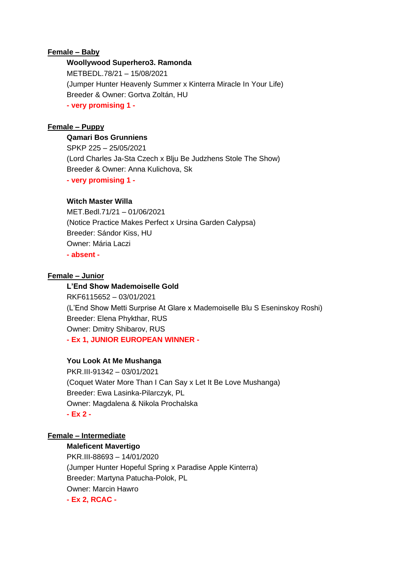# **Female – Baby**

# **Woollywood Superhero3. Ramonda**

METBEDL.78/21 – 15/08/2021 (Jumper Hunter Heavenly Summer x Kinterra Miracle In Your Life) Breeder & Owner: Gortva Zoltán, HU **- very promising 1 -**

# **Female – Puppy**

# **Qamari Bos Grunniens**

SPKP 225 – 25/05/2021 (Lord Charles Ja-Sta Czech x Blju Be Judzhens Stole The Show) Breeder & Owner: Anna Kulichova, Sk **- very promising 1 -**

# **Witch Master Willa**

MET.Bedl.71/21 – 01/06/2021 (Notice Practice Makes Perfect x Ursina Garden Calypsa) Breeder: Sándor Kiss, HU Owner: Mária Laczi **- absent -**

# **Female – Junior**

**L'End Show Mademoiselle Gold** RKF6115652 – 03/01/2021 (L'End Show Metti Surprise At Glare x Mademoiselle Blu S Eseninskoy Roshi) Breeder: Elena Phykthar, RUS Owner: Dmitry Shibarov, RUS **- Ex 1, JUNIOR EUROPEAN WINNER -**

# **You Look At Me Mushanga**

PKR.III-91342 – 03/01/2021 (Coquet Water More Than I Can Say x Let It Be Love Mushanga) Breeder: Ewa Lasinka-Pilarczyk, PL Owner: Magdalena & Nikola Prochalska **- Ex 2 -**

# **Female – Intermediate**

**Maleficent Mavertigo** PKR.III-88693 – 14/01/2020 (Jumper Hunter Hopeful Spring x Paradise Apple Kinterra) Breeder: Martyna Patucha-Polok, PL Owner: Marcin Hawro **- Ex 2, RCAC -**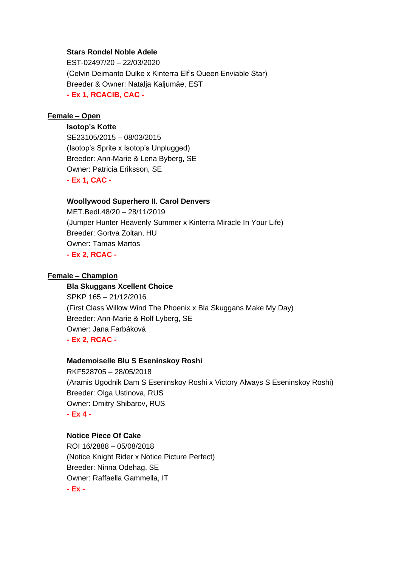## **Stars Rondel Noble Adele**

EST-02497/20 – 22/03/2020 (Celvin Deimanto Dulke x Kinterra Elf's Queen Enviable Star) Breeder & Owner: Natalja Kaljumäe, EST **- Ex 1, RCACIB, CAC -**

# **Female – Open**

**Isotop's Kotte** SE23105/2015 – 08/03/2015 (Isotop's Sprite x Isotop's Unplugged) Breeder: Ann-Marie & Lena Byberg, SE Owner: Patricia Eriksson, SE **- Ex 1, CAC -**

### **Woollywood Superhero II. Carol Denvers**

MET.Bedl.48/20 – 28/11/2019 (Jumper Hunter Heavenly Summer x Kinterra Miracle In Your Life) Breeder: Gortva Zoltan, HU Owner: Tamas Martos **- Ex 2, RCAC -**

## **Female – Champion**

**Bla Skuggans Xcellent Choice** SPKP 165 – 21/12/2016 (First Class Willow Wind The Phoenix x Bla Skuggans Make My Day) Breeder: Ann-Marie & Rolf Lyberg, SE Owner: Jana Farbáková **- Ex 2, RCAC -**

## **Mademoiselle Blu S Eseninskoy Roshi**

RKF528705 – 28/05/2018 (Aramis Ugodnik Dam S Eseninskoy Roshi x Victory Always S Eseninskoy Roshi) Breeder: Olga Ustinova, RUS Owner: Dmitry Shibarov, RUS **- Ex 4 -**

## **Notice Piece Of Cake**

ROI 16/2888 – 05/08/2018 (Notice Knight Rider x Notice Picture Perfect) Breeder: Ninna Odehag, SE Owner: Raffaella Gammella, IT **- Ex -**